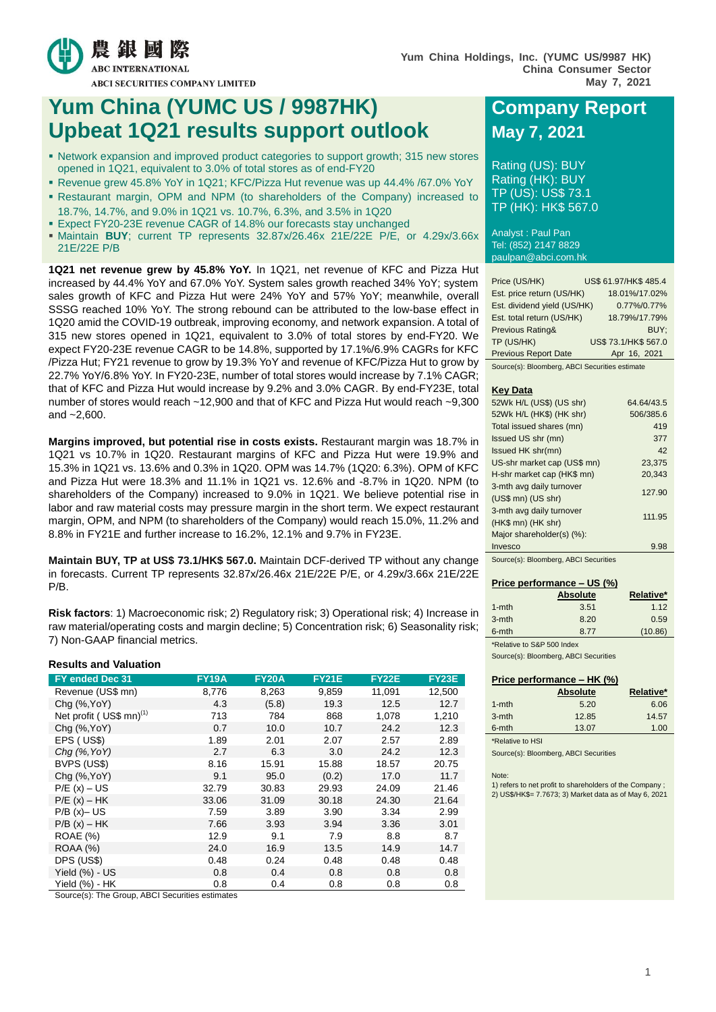

# **Yum China (YUMC US / 9987HK) Company Report Upbeat 1Q21 results support outlook May 7, 2021**

- Network expansion and improved product categories to support growth; 315 new stores opened in 1Q21, equivalent to 3.0% of total stores as of end-FY20
- Revenue grew 45.8% YoY in 1Q21; KFC/Pizza Hut revenue was up 44.4% /67.0% YoY Restaurant margin, OPM and NPM (to shareholders of the Company) increased to
- 18.7%, 14.7%, and 9.0% in 1Q21 vs. 10.7%, 6.3%, and 3.5% in 1Q20
- Expect FY20-23E revenue CAGR of 14.8% our forecasts stay unchanged
- Maintain **BUY**; current TP represents 32.87x/26.46x 21E/22E P/E, or 4.29x/3.66x 21E/22E P/B

**1Q21 net revenue grew by 45.8% YoY.** In 1Q21, net revenue of KFC and Pizza Hut increased by 44.4% YoY and 67.0% YoY. System sales growth reached 34% YoY; system sales growth of KFC and Pizza Hut were 24% YoY and 57% YoY; meanwhile, overall SSSG reached 10% YoY. The strong rebound can be attributed to the low-base effect in 1Q20 amid the COVID-19 outbreak, improving economy, and network expansion. A total of 315 new stores opened in 1Q21, equivalent to 3.0% of total stores by end-FY20. We expect FY20-23E revenue CAGR to be 14.8%, supported by 17.1%/6.9% CAGRs for KFC /Pizza Hut; FY21 revenue to grow by 19.3% YoY and revenue of KFC/Pizza Hut to grow by 22.7% YoY/6.8% YoY. In FY20-23E, number of total stores would increase by 7.1% CAGR; that of KFC and Pizza Hut would increase by 9.2% and 3.0% CAGR. By end-FY23E, total number of stores would reach ~12,900 and that of KFC and Pizza Hut would reach ~9,300 and ~2,600.

**Margins improved, but potential rise in costs exists.** Restaurant margin was 18.7% in 1Q21 vs 10.7% in 1Q20. Restaurant margins of KFC and Pizza Hut were 19.9% and 15.3% in 1Q21 vs. 13.6% and 0.3% in 1Q20. OPM was 14.7% (1Q20: 6.3%). OPM of KFC and Pizza Hut were 18.3% and 11.1% in 1Q21 vs. 12.6% and -8.7% in 1Q20. NPM (to shareholders of the Company) increased to 9.0% in 1Q21. We believe potential rise in labor and raw material costs may pressure margin in the short term. We expect restaurant margin, OPM, and NPM (to shareholders of the Company) would reach 15.0%, 11.2% and 8.8% in FY21E and further increase to 16.2%, 12.1% and 9.7% in FY23E.

**Maintain BUY, TP at US\$ 73.1/HK\$ 567.0.** Maintain DCF-derived TP without any change in forecasts. Current TP represents 32.87x/26.46x 21E/22E P/E, or 4.29x/3.66x 21E/22E P/B.

**Risk factors**: 1) Macroeconomic risk; 2) Regulatory risk; 3) Operational risk; 4) Increase in raw material/operating costs and margin decline; 5) Concentration risk; 6) Seasonality risk; 7) Non-GAAP financial metrics.

# **Results and Valuation**

| FY ended Dec 31                     | <b>FY19A</b> | <b>FY20A</b> | <b>FY21E</b> | <b>FY22E</b> | <b>FY23E</b> |
|-------------------------------------|--------------|--------------|--------------|--------------|--------------|
| Revenue (US\$ mn)                   | 8,776        | 8,263        | 9,859        | 11,091       | 12,500       |
| $Chq$ $(\%$ , YoY $)$               | 4.3          | (5.8)        | 19.3         | 12.5         | 12.7         |
| Net profit (US\$ mn) <sup>(1)</sup> | 713          | 784          | 868          | 1,078        | 1,210        |
| Chg (%, YoY)                        | 0.7          | 10.0         | 10.7         | 24.2         | 12.3         |
| EPS (US\$)                          | 1.89         | 2.01         | 2.07         | 2.57         | 2.89         |
| Chq (%, YoY)                        | 2.7          | 6.3          | 3.0          | 24.2         | 12.3         |
| BVPS (US\$)                         | 8.16         | 15.91        | 15.88        | 18.57        | 20.75        |
| Chq (%, YoY)                        | 9.1          | 95.0         | (0.2)        | 17.0         | 11.7         |
| $P/E(x) - US$                       | 32.79        | 30.83        | 29.93        | 24.09        | 21.46        |
| $P/E(x) - HK$                       | 33.06        | 31.09        | 30.18        | 24.30        | 21.64        |
| $P/B(x)-US$                         | 7.59         | 3.89         | 3.90         | 3.34         | 2.99         |
| $P/B(x) - HK$                       | 7.66         | 3.93         | 3.94         | 3.36         | 3.01         |
| <b>ROAE</b> (%)                     | 12.9         | 9.1          | 7.9          | 8.8          | 8.7          |
| ROAA (%)                            | 24.0         | 16.9         | 13.5         | 14.9         | 14.7         |
| DPS (US\$)                          | 0.48         | 0.24         | 0.48         | 0.48         | 0.48         |
| Yield (%) - US                      | 0.8          | 0.4          | 0.8          | 0.8          | 0.8          |
| Yield (%) - HK                      | 0.8          | 0.4          | 0.8          | 0.8          | 0.8          |

Source(s): The Group, ABCI Securities estimates

Rating (US): BUY Rating (HK): BUY TP (US): US\$ 73.1 TP (HK): HK\$ 567.0

Analyst : Paul Pan Tel: (852) 2147 8829 paulpan@abci.com.hk

| Price (US/HK)               | US\$ 61.97/HK\$ 485.4 |
|-----------------------------|-----------------------|
| Est. price return (US/HK)   | 18.01%/17.02%         |
| Est. dividend yield (US/HK) | 0.77%/0.77%           |
| Est. total return (US/HK)   | 18.79%/17.79%         |
| Previous Rating&            | BUY:                  |
| TP (US/HK)                  | US\$ 73.1/HK\$ 567.0  |
| <b>Previous Report Date</b> | Apr 16, 2021          |

Source(s): Bloomberg, ABCI Securities estimate

#### **Key Data**

| 52Wk H/L (US\$) (US shr)    | 64.64/43.5 |
|-----------------------------|------------|
| 52Wk H/L (HK\$) (HK shr)    | 506/385.6  |
| Total issued shares (mn)    | 419        |
| Issued US shr (mn)          | 377        |
| Issued HK shr(mn)           | 42         |
| US-shr market cap (US\$ mn) | 23,375     |
| H-shr market cap (HK\$ mn)  | 20,343     |
| 3-mth avg daily turnover    |            |
| $(US$$ mn $)$ $(US$ shr $)$ | 127.90     |
| 3-mth avg daily turnover    |            |
| (HK\$ mn) (HK shr)          | 111.95     |
| Major shareholder(s) (%):   |            |
| Invesco                     | 9.98       |

Source(s): Bloomberg, ABCI Securities

## **Price performance – US (%)**

|                            | <b>Absolute</b> | Relative* |
|----------------------------|-----------------|-----------|
| $1 - mth$                  | 3.51            | 1.12      |
| 3-mth                      | 8.20            | 0.59      |
| 6-mth                      | 8.77            | (10.86)   |
| *Relative to S&P 500 Index |                 |           |

Source(s): Bloomberg, ABCI Securities

|           | Price performance $-$ HK $(\%)$ |           |
|-----------|---------------------------------|-----------|
|           | <b>Absolute</b>                 | Relative* |
| $1 - mth$ | 5.20                            | 6.06      |
| $3-$ mth  | 12.85                           | 14.57     |
| 6-mth     | 13.07                           | 1.00      |

\*Relative to HSI

Source(s): Bloomberg, ABCI Securities

Note:

1) refers to net profit to shareholders of the Company ; 2) US\$/HK\$= 7.7673; 3) Market data as of May 6, 2021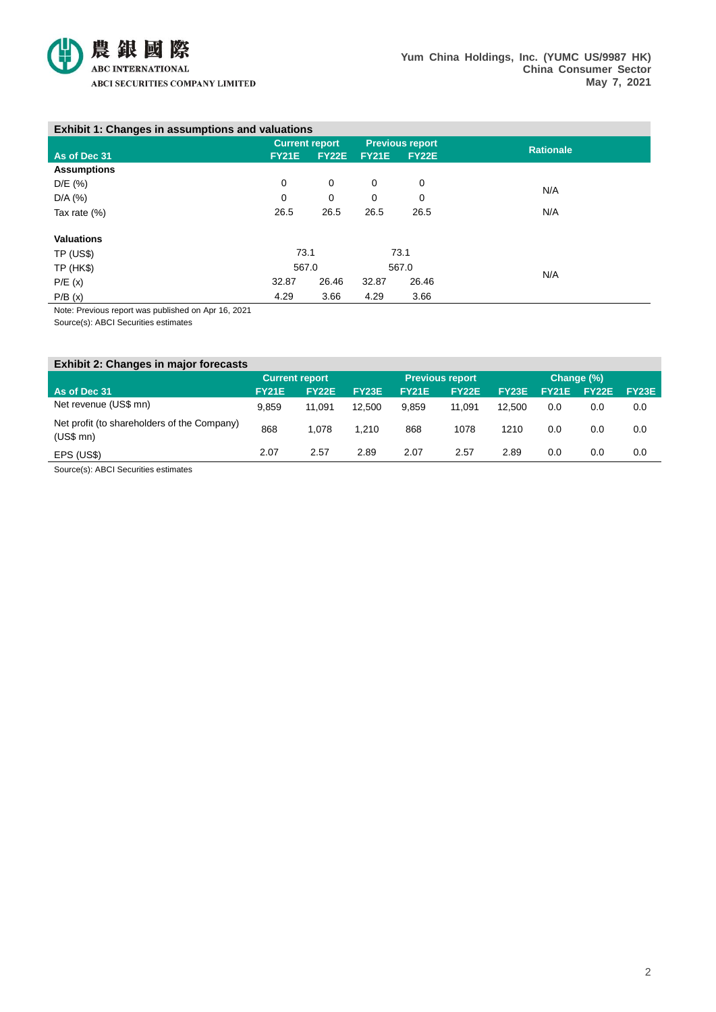

| <b>Exhibit 1: Changes in assumptions and valuations</b> |                       |              |                        |              |                  |
|---------------------------------------------------------|-----------------------|--------------|------------------------|--------------|------------------|
|                                                         | <b>Current report</b> |              | <b>Previous report</b> |              | <b>Rationale</b> |
| As of Dec 31                                            | <b>FY21E</b>          | <b>FY22E</b> | <b>FY21E</b>           | <b>FY22E</b> |                  |
| <b>Assumptions</b>                                      |                       |              |                        |              |                  |
| D/E (%)                                                 | 0                     | 0            | 0                      | 0            | N/A              |
| $D/A$ (%)                                               | 0                     | 0            | 0                      | 0            |                  |
| Tax rate $(\%)$                                         | 26.5                  | 26.5         | 26.5                   | 26.5         | N/A              |
|                                                         |                       |              |                        |              |                  |
| <b>Valuations</b>                                       |                       |              |                        |              |                  |
| <b>TP (US\$)</b>                                        | 73.1                  |              |                        | 73.1         |                  |
| <b>TP (HK\$)</b>                                        | 567.0                 |              |                        | 567.0        | N/A              |
| P/E(x)                                                  | 32.87                 | 26.46        | 32.87                  | 26.46        |                  |
| P/B(x)                                                  | 4.29                  | 3.66         | 4.29                   | 3.66         |                  |

Note: Previous report was published on Apr 16, 2021

Source(s): ABCI Securities estimates

| <b>Exhibit 2: Changes in major forecasts</b>                 |                       |              |              |                        |              |              |              |              |              |
|--------------------------------------------------------------|-----------------------|--------------|--------------|------------------------|--------------|--------------|--------------|--------------|--------------|
|                                                              | <b>Current report</b> |              |              | <b>Previous report</b> |              |              | Change (%)   |              |              |
| As of Dec 31                                                 | <b>FY21E</b>          | <b>FY22E</b> | <b>FY23E</b> | <b>FY21E</b>           | <b>FY22E</b> | <b>FY23E</b> | <b>FY21E</b> | <b>FY22E</b> | <b>FY23E</b> |
| Net revenue (US\$ mn)                                        | 9.859                 | 11.091       | 12.500       | 9.859                  | 11.091       | 12.500       | 0.0          | 0.0          | 0.0          |
| Net profit (to shareholders of the Company)<br>$(US$$ mn $)$ | 868                   | 1.078        | 1.210        | 868                    | 1078         | 1210         | 0.0          | 0.0          | 0.0          |
| EPS (US\$)                                                   | 2.07                  | 2.57         | 2.89         | 2.07                   | 2.57         | 2.89         | 0.0          | 0.0          | 0.0          |

Source(s): ABCI Securities estimates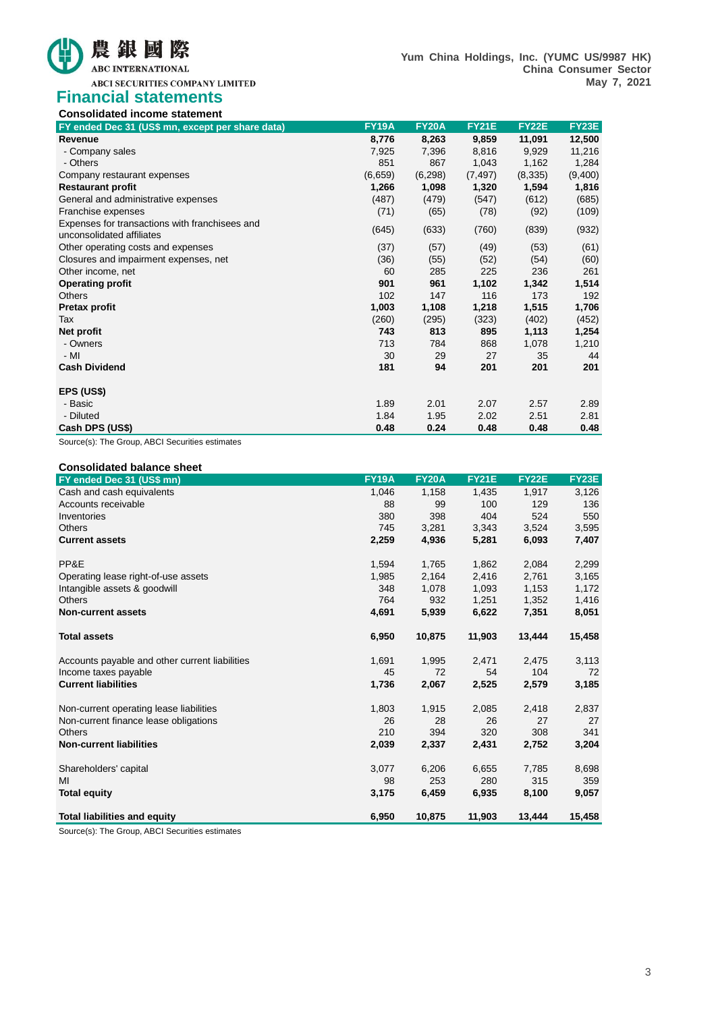

# **Financial statements Consolidated income statement**

| Consolidated income statement                    |              |              |              |              |              |
|--------------------------------------------------|--------------|--------------|--------------|--------------|--------------|
| FY ended Dec 31 (US\$ mn, except per share data) | <b>FY19A</b> | <b>FY20A</b> | <b>FY21E</b> | <b>FY22E</b> | <b>FY23E</b> |
| Revenue                                          | 8,776        | 8,263        | 9,859        | 11,091       | 12,500       |
| - Company sales                                  | 7,925        | 7,396        | 8,816        | 9,929        | 11,216       |
| - Others                                         | 851          | 867          | 1,043        | 1,162        | 1,284        |
| Company restaurant expenses                      | (6,659)      | (6, 298)     | (7, 497)     | (8,335)      | (9,400)      |
| <b>Restaurant profit</b>                         | 1,266        | 1,098        | 1,320        | 1,594        | 1,816        |
| General and administrative expenses              | (487)        | (479)        | (547)        | (612)        | (685)        |
| Franchise expenses                               | (71)         | (65)         | (78)         | (92)         | (109)        |
| Expenses for transactions with franchisees and   | (645)        | (633)        | (760)        | (839)        |              |
| unconsolidated affiliates                        |              |              |              |              | (932)        |
| Other operating costs and expenses               | (37)         | (57)         | (49)         | (53)         | (61)         |
| Closures and impairment expenses, net            | (36)         | (55)         | (52)         | (54)         | (60)         |
| Other income, net                                | 60           | 285          | 225          | 236          | 261          |
| <b>Operating profit</b>                          | 901          | 961          | 1,102        | 1,342        | 1,514        |
| Others                                           | 102          | 147          | 116          | 173          | 192          |
| <b>Pretax profit</b>                             | 1,003        | 1,108        | 1,218        | 1,515        | 1,706        |
| Tax                                              | (260)        | (295)        | (323)        | (402)        | (452)        |
| Net profit                                       | 743          | 813          | 895          | 1,113        | 1,254        |
| - Owners                                         | 713          | 784          | 868          | 1,078        | 1,210        |
| $-MI$                                            | 30           | 29           | 27           | 35           | 44           |
| <b>Cash Dividend</b>                             | 181          | 94           | 201          | 201          | 201          |
| EPS (US\$)                                       |              |              |              |              |              |
| - Basic                                          | 1.89         | 2.01         | 2.07         | 2.57         | 2.89         |
| - Diluted                                        | 1.84         | 1.95         | 2.02         | 2.51         | 2.81         |
| Cash DPS (US\$)                                  | 0.48         | 0.24         | 0.48         | 0.48         | 0.48         |

Source(s): The Group, ABCI Securities estimates

| <b>Consolidated balance sheet</b>              |              |              |              |              |              |
|------------------------------------------------|--------------|--------------|--------------|--------------|--------------|
| FY ended Dec 31 (US\$ mn)                      | <b>FY19A</b> | <b>FY20A</b> | <b>FY21E</b> | <b>FY22E</b> | <b>FY23E</b> |
| Cash and cash equivalents                      | 1,046        | 1,158        | 1,435        | 1,917        | 3,126        |
| Accounts receivable                            | 88           | 99           | 100          | 129          | 136          |
| Inventories                                    | 380          | 398          | 404          | 524          | 550          |
| <b>Others</b>                                  | 745          | 3,281        | 3,343        | 3,524        | 3,595        |
| <b>Current assets</b>                          | 2,259        | 4,936        | 5,281        | 6,093        | 7,407        |
| PP&E                                           | 1,594        | 1,765        | 1,862        | 2,084        | 2,299        |
| Operating lease right-of-use assets            | 1,985        | 2,164        | 2,416        | 2,761        | 3,165        |
| Intangible assets & goodwill                   | 348          | 1,078        | 1,093        | 1,153        | 1,172        |
| <b>Others</b>                                  | 764          | 932          | 1,251        | 1,352        | 1,416        |
| <b>Non-current assets</b>                      | 4,691        | 5,939        | 6,622        | 7,351        | 8,051        |
| <b>Total assets</b>                            | 6,950        | 10,875       | 11,903       | 13,444       | 15,458       |
| Accounts payable and other current liabilities | 1,691        | 1,995        | 2,471        | 2,475        | 3,113        |
| Income taxes payable                           | 45           | 72           | 54           | 104          | 72           |
| <b>Current liabilities</b>                     | 1,736        | 2,067        | 2,525        | 2,579        | 3,185        |
| Non-current operating lease liabilities        | 1,803        | 1,915        | 2,085        | 2,418        | 2,837        |
| Non-current finance lease obligations          | 26           | 28           | 26           | 27           | 27           |
| <b>Others</b>                                  | 210          | 394          | 320          | 308          | 341          |
| <b>Non-current liabilities</b>                 | 2,039        | 2,337        | 2,431        | 2,752        | 3,204        |
| Shareholders' capital                          | 3,077        | 6,206        | 6,655        | 7,785        | 8,698        |
| MI                                             | 98           | 253          | 280          | 315          | 359          |
| <b>Total equity</b>                            | 3,175        | 6,459        | 6,935        | 8,100        | 9,057        |
| <b>Total liabilities and equity</b>            | 6.950        | 10,875       | 11,903       | 13,444       | 15.458       |

Source(s): The Group, ABCI Securities estimates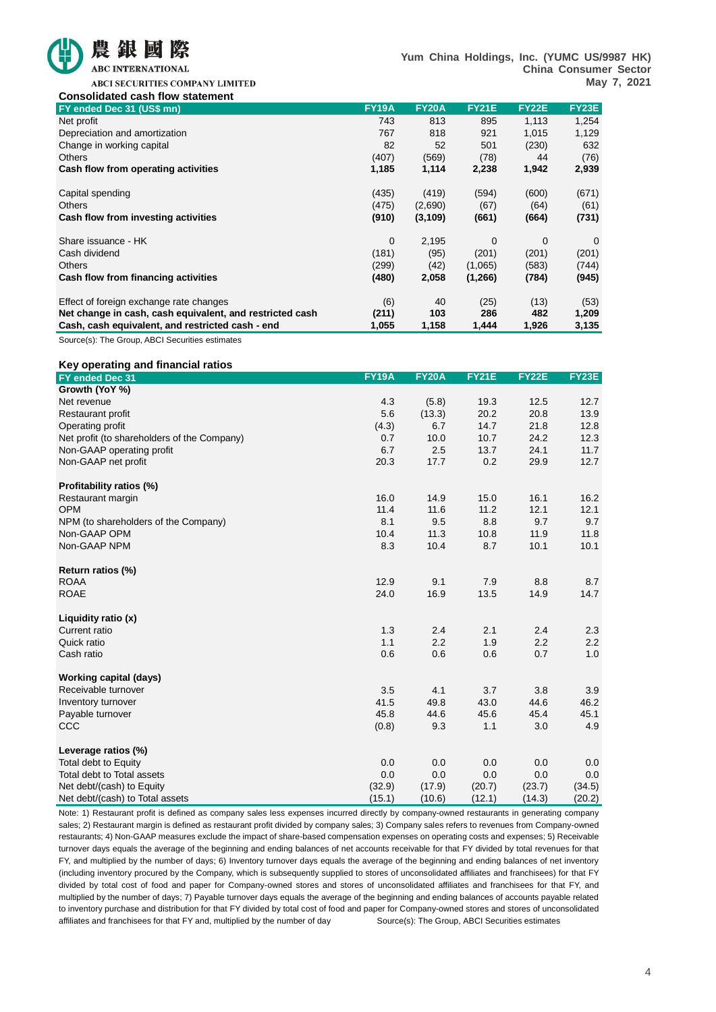

**Yum China Holdings, Inc. (YUMC US/9987 HK) China Consumer Sector May 7, 2021**

ABCI SECURITIES COMPANY LIMITED

| <b>Consolidated cash flow statement</b>                  |              |              |              |              |       |
|----------------------------------------------------------|--------------|--------------|--------------|--------------|-------|
| FY ended Dec 31 (US\$ mn)                                | <b>FY19A</b> | <b>FY20A</b> | <b>FY21E</b> | <b>FY22E</b> | FY23E |
| Net profit                                               | 743          | 813          | 895          | 1,113        | 1,254 |
| Depreciation and amortization                            | 767          | 818          | 921          | 1,015        | 1,129 |
| Change in working capital                                | 82           | 52           | 501          | (230)        | 632   |
| <b>Others</b>                                            | (407)        | (569)        | (78)         | 44           | (76)  |
| Cash flow from operating activities                      | 1,185        | 1,114        | 2,238        | 1,942        | 2,939 |
| Capital spending                                         | (435)        | (419)        | (594)        | (600)        | (671) |
| <b>Others</b>                                            | (475)        | (2,690)      | (67)         | (64)         | (61)  |
| Cash flow from investing activities                      | (910)        | (3, 109)     | (661)        | (664)        | (731) |
| Share issuance - HK                                      | $\Omega$     | 2,195        | $\Omega$     | 0            | 0     |
| Cash dividend                                            | (181)        | (95)         | (201)        | (201)        | (201) |
| <b>Others</b>                                            | (299)        | (42)         | (1,065)      | (583)        | (744) |
| Cash flow from financing activities                      | (480)        | 2,058        | (1,266)      | (784)        | (945) |
| Effect of foreign exchange rate changes                  | (6)          | 40           | (25)         | (13)         | (53)  |
| Net change in cash, cash equivalent, and restricted cash | (211)        | 103          | 286          | 482          | 1,209 |
| Cash, cash equivalent, and restricted cash - end         | 1,055        | 1,158        | 1,444        | 1,926        | 3,135 |

Source(s): The Group, ABCI Securities estimates

## **Key operating and financial ratios**

| <b>FY19A</b><br><b>FY20A</b><br><b>FY21E</b><br><b>FY22E</b><br>FY ended Dec 31<br>Growth (YoY %) | FY23E  |
|---------------------------------------------------------------------------------------------------|--------|
| 4.3<br>(5.8)<br>19.3<br>12.5<br>Net revenue                                                       | 12.7   |
| 5.6<br>(13.3)<br>20.2<br>20.8<br><b>Restaurant profit</b>                                         | 13.9   |
| (4.3)<br>14.7<br>21.8<br>Operating profit<br>6.7                                                  | 12.8   |
| 24.2<br>Net profit (to shareholders of the Company)<br>0.7<br>10.0<br>10.7                        | 12.3   |
| 6.7<br>Non-GAAP operating profit<br>2.5<br>13.7<br>24.1                                           | 11.7   |
| 20.3<br>0.2<br>29.9<br>17.7                                                                       | 12.7   |
| Non-GAAP net profit                                                                               |        |
| Profitability ratios (%)                                                                          |        |
| 16.0<br>14.9<br>15.0<br>16.1<br>Restaurant margin                                                 | 16.2   |
| <b>OPM</b><br>11.4<br>11.6<br>11.2<br>12.1                                                        | 12.1   |
| NPM (to shareholders of the Company)<br>8.1<br>9.5<br>8.8<br>9.7                                  | 9.7    |
| Non-GAAP OPM<br>10.4<br>11.3<br>10.8<br>11.9                                                      | 11.8   |
| 8.3<br>10.4<br>8.7<br>10.1<br>Non-GAAP NPM                                                        | 10.1   |
|                                                                                                   |        |
| Return ratios (%)                                                                                 |        |
| 9.1<br><b>ROAA</b><br>12.9<br>7.9<br>8.8                                                          | 8.7    |
| <b>ROAE</b><br>24.0<br>16.9<br>13.5<br>14.9                                                       | 14.7   |
| Liquidity ratio (x)                                                                               |        |
| Current ratio<br>1.3<br>2.4<br>2.1<br>2.4                                                         | 2.3    |
| 1.1<br>2.2<br>1.9<br>Quick ratio<br>2.2                                                           | 2.2    |
| Cash ratio<br>0.6<br>0.6<br>0.6<br>0.7                                                            | 1.0    |
|                                                                                                   |        |
| <b>Working capital (days)</b>                                                                     |        |
| Receivable turnover<br>3.8<br>3.5<br>4.1<br>3.7                                                   | 3.9    |
| 41.5<br>49.8<br>Inventory turnover<br>43.0<br>44.6                                                | 46.2   |
| Payable turnover<br>45.8<br>44.6<br>45.6<br>45.4                                                  | 45.1   |
| CCC<br>9.3<br>1.1<br>3.0<br>(0.8)                                                                 | 4.9    |
| Leverage ratios (%)                                                                               |        |
| Total debt to Equity<br>0.0<br>0.0<br>0.0<br>0.0                                                  | 0.0    |
| Total debt to Total assets<br>0.0<br>0.0<br>0.0<br>0.0                                            | 0.0    |
| (32.9)<br>(17.9)<br>Net debt/(cash) to Equity<br>(20.7)<br>(23.7)                                 | (34.5) |
| (12.1)<br>(15.1)<br>(10.6)<br>(14.3)<br>Net debt/(cash) to Total assets                           | (20.2) |

Note: 1) Restaurant profit is defined as company sales less expenses incurred directly by company-owned restaurants in generating company sales; 2) Restaurant margin is defined as restaurant profit divided by company sales; 3) Company sales refers to revenues from Company-owned restaurants; 4) Non-GAAP measures exclude the impact of share-based compensation expenses on operating costs and expenses; 5) Receivable turnover days equals the average of the beginning and ending balances of net accounts receivable for that FY divided by total revenues for that FY, and multiplied by the number of days; 6) Inventory turnover days equals the average of the beginning and ending balances of net inventory (including inventory procured by the Company, which is subsequently supplied to stores of unconsolidated affiliates and franchisees) for that FY divided by total cost of food and paper for Company-owned stores and stores of unconsolidated affiliates and franchisees for that FY, and multiplied by the number of days; 7) Payable turnover days equals the average of the beginning and ending balances of accounts payable related to inventory purchase and distribution for that FY divided by total cost of food and paper for Company-owned stores and stores of unconsolidated affiliates and franchisees for that FY and, multiplied by the number of day Source(s): The Group, ABCI Securities estimates